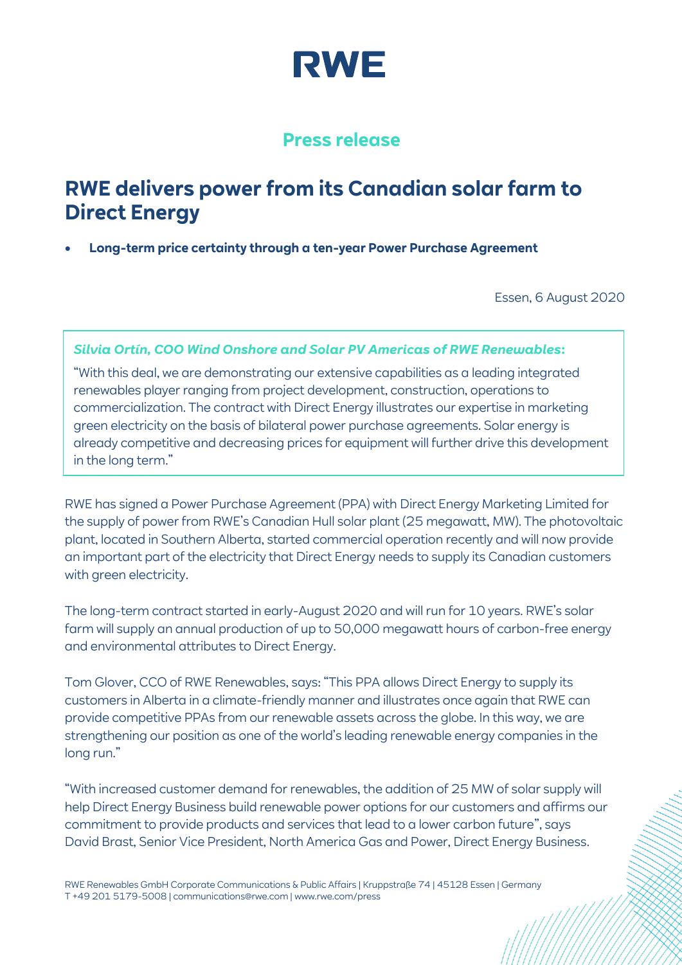

# **Press release**

# **RWE delivers power from its Canadian solar farm to Direct Energy**

• **Long-term price certainty through a ten-year Power Purchase Agreement**

Essen, 6 August 2020

# *Silvia Ortín, COO Wind Onshore and Solar PV Americas of RWE Renewables***:**

"With this deal, we are demonstrating our extensive capabilities as a leading integrated renewables player ranging from project development, construction, operations to commercialization. The contract with Direct Energy illustrates our expertise in marketing green electricity on the basis of bilateral power purchase agreements. Solar energy is already competitive and decreasing prices for equipment will further drive this development in the long term."

RWE has signed a Power Purchase Agreement (PPA) with Direct Energy Marketing Limited for the supply of power from RWE's Canadian Hull solar plant (25 megawatt, MW). The photovoltaic plant, located in Southern Alberta, started commercial operation recently and will now provide an important part of the electricity that Direct Energy needs to supply its Canadian customers with green electricity.

The long-term contract started in early-August 2020 and will run for 10 years. RWE's solar farm will supply an annual production of up to 50,000 megawatt hours of carbon-free energy and environmental attributes to Direct Energy.

Tom Glover, CCO of RWE Renewables, says: "This PPA allows Direct Energy to supply its customers in Alberta in a climate-friendly manner and illustrates once again that RWE can provide competitive PPAs from our renewable assets across the globe. In this way, we are strengthening our position as one of the world's leading renewable energy companies in the long run."

"With increased customer demand for renewables, the addition of 25 MW of solar supply will help Direct Energy Business build renewable power options for our customers and affirms our commitment to provide products and services that lead to a lower carbon future", says David Brast, Senior Vice President, North America Gas and Power, Direct Energy Business.

RWE Renewables GmbH Corporate Communications & Public Affairs | Kruppstraße 74 | 45128 Essen | Germany T +49 201 5179-5008 | communications@rwe.com | www.rwe.com/press